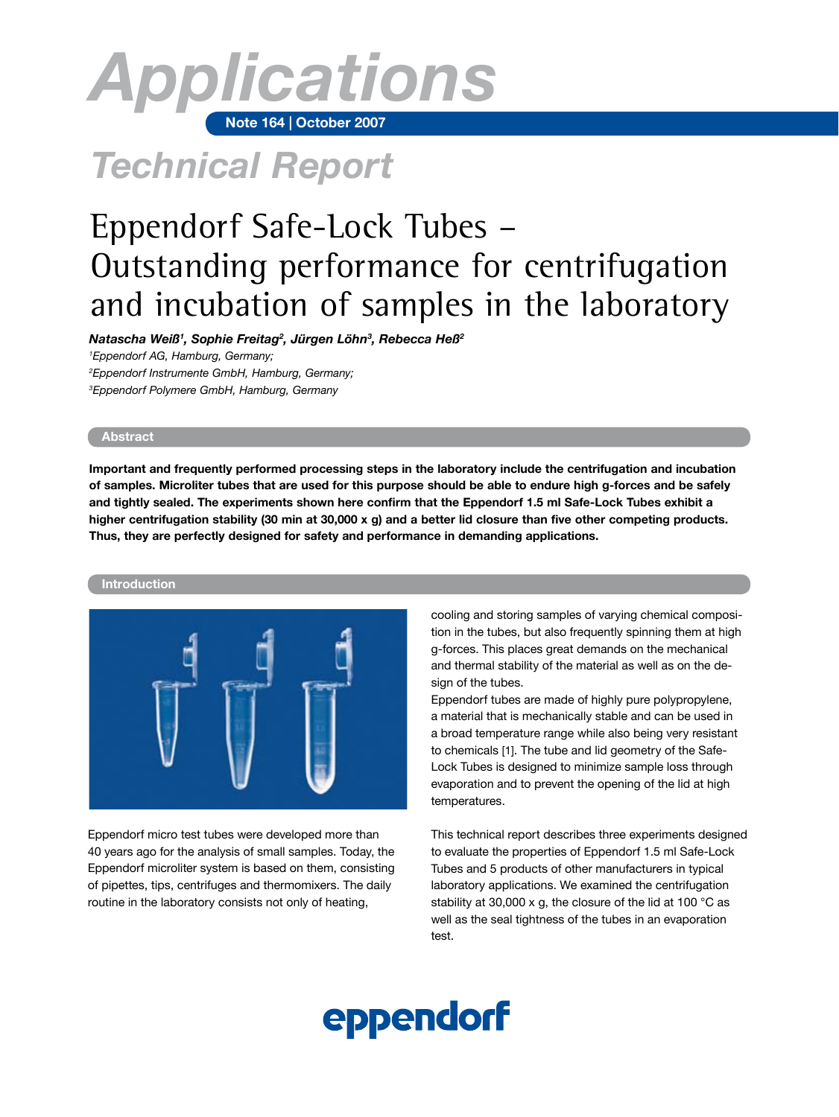# *Applications*

**Note 164 | October 2007**

# *Technical Report*

# Eppendorf Safe-Lock Tubes – Outstanding performance for centrifugation and incubation of samples in the laboratory

*Natascha Weiß1 , Sophie Freitag2 , Jürgen Löhn3 , Rebecca Heß2*

*1 Eppendorf AG, Hamburg, Germany;* 

*2 Eppendorf Instrumente GmbH, Hamburg, Germany; 3 Eppendorf Polymere GmbH, Hamburg, Germany*

# **Abstract**

**Important and frequently performed processing steps in the laboratory include the centrifugation and incubation of samples. Microliter tubes that are used for this purpose should be able to endure high g-forces and be safely and tightly sealed. The experiments shown here confirm that the Eppendorf 1.5 ml Safe-Lock Tubes exhibit a higher centrifugation stability (30 min at 30,000 x g) and a better lid closure than five other competing products. Thus, they are perfectly designed for safety and performance in demanding applications.**

# **Introduction**



Eppendorf micro test tubes were developed more than 40 years ago for the analysis of small samples. Today, the Eppendorf microliter system is based on them, consisting of pipettes, tips, centrifuges and thermomixers. The daily routine in the laboratory consists not only of heating,

cooling and storing samples of varying chemical composition in the tubes, but also frequently spinning them at high g-forces. This places great demands on the mechanical and thermal stability of the material as well as on the design of the tubes.

Eppendorf tubes are made of highly pure polypropylene, a material that is mechanically stable and can be used in a broad temperature range while also being very resistant to chemicals [1]. The tube and lid geometry of the Safe-Lock Tubes is designed to minimize sample loss through evaporation and to prevent the opening of the lid at high temperatures.

This technical report describes three experiments designed to evaluate the properties of Eppendorf 1.5 ml Safe-Lock Tubes and 5 products of other manufacturers in typical laboratory applications. We examined the centrifugation stability at 30,000 x g, the closure of the lid at 100  $^{\circ}$ C as well as the seal tightness of the tubes in an evaporation test.

# eppendorf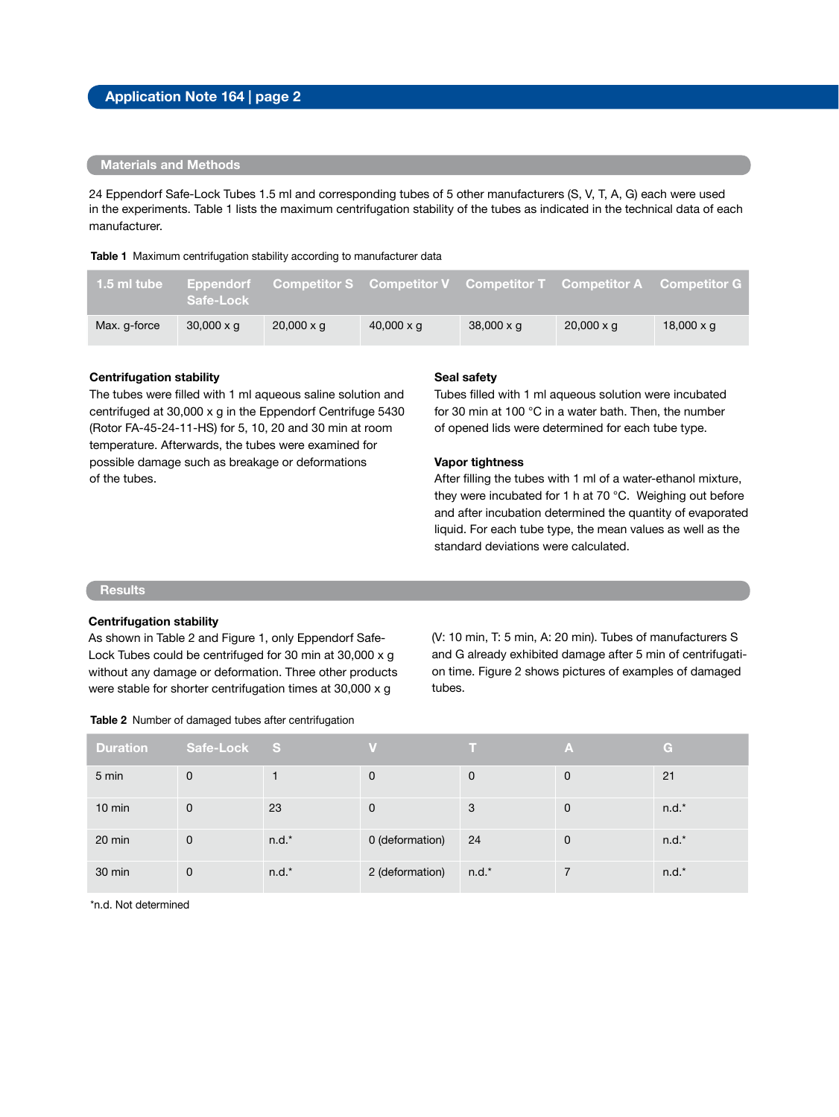# **Materials and Methods**

24 Eppendorf Safe-Lock Tubes 1.5 ml and corresponding tubes of 5 other manufacturers (S, V, T, A, G) each were used in the experiments. Table 1 lists the maximum centrifugation stability of the tubes as indicated in the technical data of each manufacturer.

#### **Table 1** Maximum centrifugation stability according to manufacturer data

| $1.5$ ml tube | Eppendorf<br>Safe-Lock |                   | Competitor S Competitor V Competitor T Competitor A Competitor G |                   |                   |                   |
|---------------|------------------------|-------------------|------------------------------------------------------------------|-------------------|-------------------|-------------------|
| Max. g-force  | $30,000 \times q$      | $20,000 \times q$ | $40,000 \times q$                                                | $38,000 \times q$ | $20,000 \times q$ | 18,000 $\times$ q |

#### **Centrifugation stability**

The tubes were filled with 1 ml aqueous saline solution and centrifuged at 30,000 x g in the Eppendorf Centrifuge 5430 (Rotor FA-45-24-11-HS) for 5, 10, 20 and 30 min at room temperature. Afterwards, the tubes were examined for possible damage such as breakage or deformations of the tubes.

### **Seal safety**

Tubes filled with 1 ml aqueous solution were incubated for 30 min at 100 °C in a water bath. Then, the number of opened lids were determined for each tube type.

# **Vapor tightness**

After filling the tubes with 1 ml of a water-ethanol mixture, they were incubated for 1 h at 70 °C. Weighing out before and after incubation determined the quantity of evaporated liquid. For each tube type, the mean values as well as the standard deviations were calculated.

# **Results**

#### **Centrifugation stability**

As shown in Table 2 and Figure 1, only Eppendorf Safe-Lock Tubes could be centrifuged for 30 min at 30,000 x g without any damage or deformation. Three other products were stable for shorter centrifugation times at 30,000 x g

(V: 10 min, T: 5 min, A: 20 min). Tubes of manufacturers S and G already exhibited damage after 5 min of centrifugation time. Figure 2 shows pictures of examples of damaged tubes.

**Table 2** Number of damaged tubes after centrifugation

| <b>Duration</b>  | Safe-Lock S |         |                 |         | A           | G.      |
|------------------|-------------|---------|-----------------|---------|-------------|---------|
| 5 min            | 0           |         | $\Omega$        | 0       | $\mathbf 0$ | 21      |
| $10 \text{ min}$ | 0           | 23      | 0               | 3       | 0           | $n.d.*$ |
| 20 min           | 0           | $n.d.*$ | 0 (deformation) | 24      | $\mathbf 0$ | $n.d.*$ |
| 30 min           | 0           | $n.d.*$ | 2 (deformation) | $n.d.*$ |             | $n.d.*$ |

\*n.d. Not determined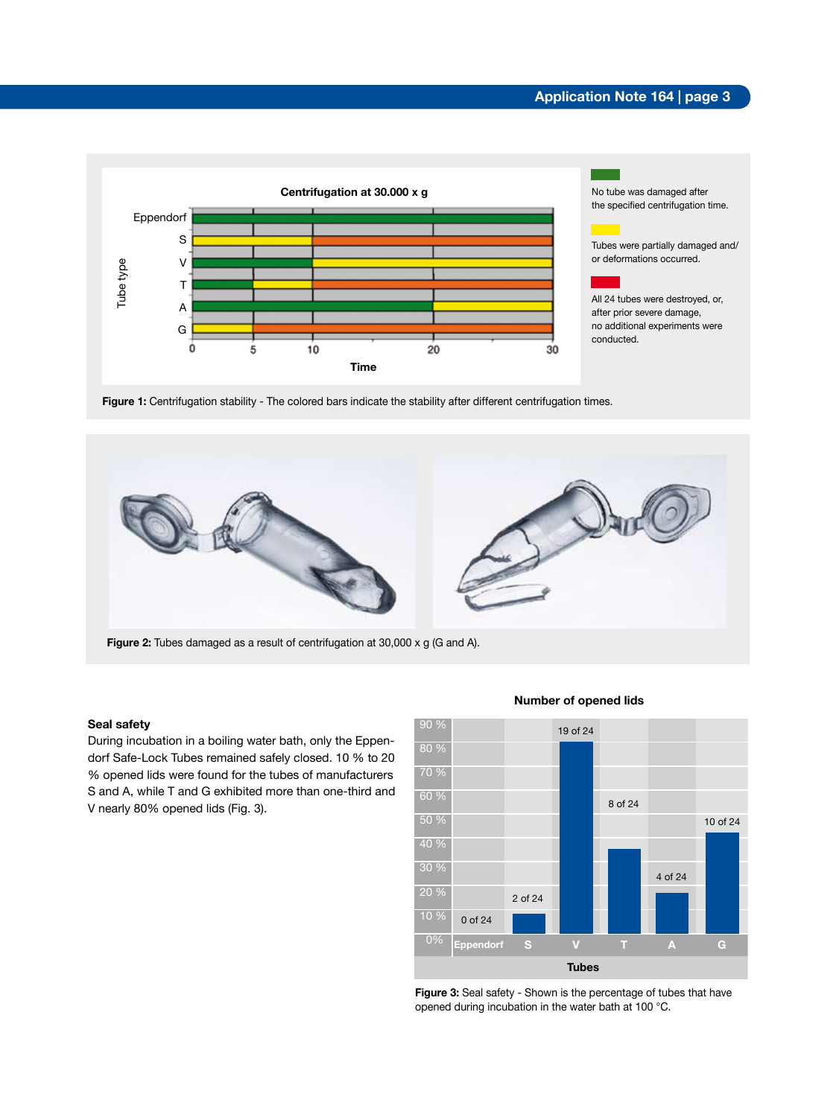

the specified centrifugation time.

Tubes were partially damaged and/ or deformations occurred.

All 24 tubes were destroyed, or, after prior severe damage, no additional experiments were conducted.

**Figure 1:** Centrifugation stability - The colored bars indicate the stability after different centrifugation times.



**Figure 2:** Tubes damaged as a result of centrifugation at 30,000 x g (G and A).

### **Seal safety**

During incubation in a boiling water bath, only the Eppendorf Safe-Lock Tubes remained safely closed. 10 % to 20 % opened lids were found for the tubes of manufacturers S and A, while T and G exhibited more than one-third and V nearly 80% opened lids (Fig. 3).

#### **Number of opened lids**



**Figure 3:** Seal safety - Shown is the percentage of tubes that have opened during incubation in the water bath at 100 °C.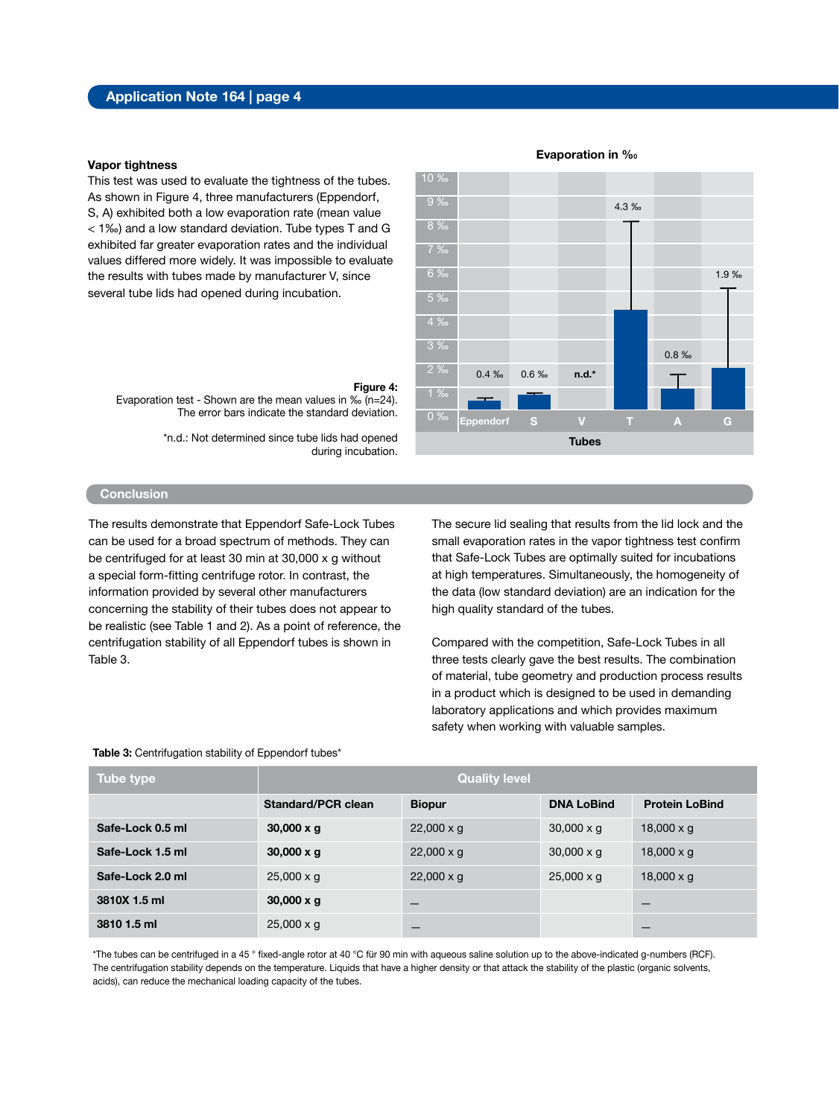# **Vapor tightness**

This test was used to evaluate the tightness of the tubes. As shown in Figure 4, three manufacturers (Eppendorf, S, A) exhibited both a low evaporation rate (mean value < 1‰) and a low standard deviation. Tube types T and G exhibited far greater evaporation rates and the individual values differed more widely. It was impossible to evaluate the results with tubes made by manufacturer V, since several tube lids had opened during incubation.

# 10 ‰ 9 ‰ 4.3 ‰ 8 ‰ 7 ‰ 6 ‰ 1.9 ‰ 5 ‰ 4 ‰ 3 ‰ 0.8 ‰ 2 ‰ 0.4 ‰ 0.6 ‰ **n.d.\*** 1 ‰ 0 ‰ **Eppendorf <sup>S</sup> <sup>V</sup> <sup>T</sup> <sup>A</sup> <sup>G</sup>**

**Evaporation in %** 

**Tubes**

#### **Figure 4:**

Evaporation test - Shown are the mean values in ‰ (n=24). The error bars indicate the standard deviation.

> \*n.d.: Not determined since tube lids had opened during incubation.

### **Conclusion**

The results demonstrate that Eppendorf Safe-Lock Tubes can be used for a broad spectrum of methods. They can be centrifuged for at least 30 min at 30,000 x g without a special form-fitting centrifuge rotor. In contrast, the information provided by several other manufacturers concerning the stability of their tubes does not appear to be realistic (see Table 1 and 2). As a point of reference, the centrifugation stability of all Eppendorf tubes is shown in Table 3.

The secure lid sealing that results from the lid lock and the small evaporation rates in the vapor tightness test confirm that Safe-Lock Tubes are optimally suited for incubations at high temperatures. Simultaneously, the homogeneity of the data (low standard deviation) are an indication for the high quality standard of the tubes.

Compared with the competition, Safe-Lock Tubes in all three tests clearly gave the best results. The combination of material, tube geometry and production process results in a product which is designed to be used in demanding laboratory applications and which provides maximum safety when working with valuable samples.

| Tube type        | <b>Quality level</b> |                   |                   |                       |
|------------------|----------------------|-------------------|-------------------|-----------------------|
|                  | Standard/PCR clean   | <b>Biopur</b>     | <b>DNA LoBind</b> | <b>Protein LoBind</b> |
| Safe-Lock 0.5 ml | $30,000 \times g$    | $22,000 \times q$ | $30,000 \times g$ | 18,000 $\times$ q     |
| Safe-Lock 1.5 ml | $30,000 \times g$    | $22,000 \times g$ | $30,000 \times g$ | 18,000 $\times$ g     |
| Safe-Lock 2.0 ml | $25,000 \times g$    | $22,000 \times g$ | $25,000 \times g$ | 18,000 $\times$ g     |
| 3810X 1.5 ml     | $30,000 \times g$    | -                 |                   | –                     |
| 3810 1.5 ml      | $25,000 \times g$    | –                 |                   |                       |

\*The tubes can be centrifuged in a 45 ° fixed-angle rotor at 40 °C für 90 min with aqueous saline solution up to the above-indicated g-numbers (RCF). The centrifugation stability depends on the temperature. Liquids that have a higher density or that attack the stability of the plastic (organic solvents, acids), can reduce the mechanical loading capacity of the tubes.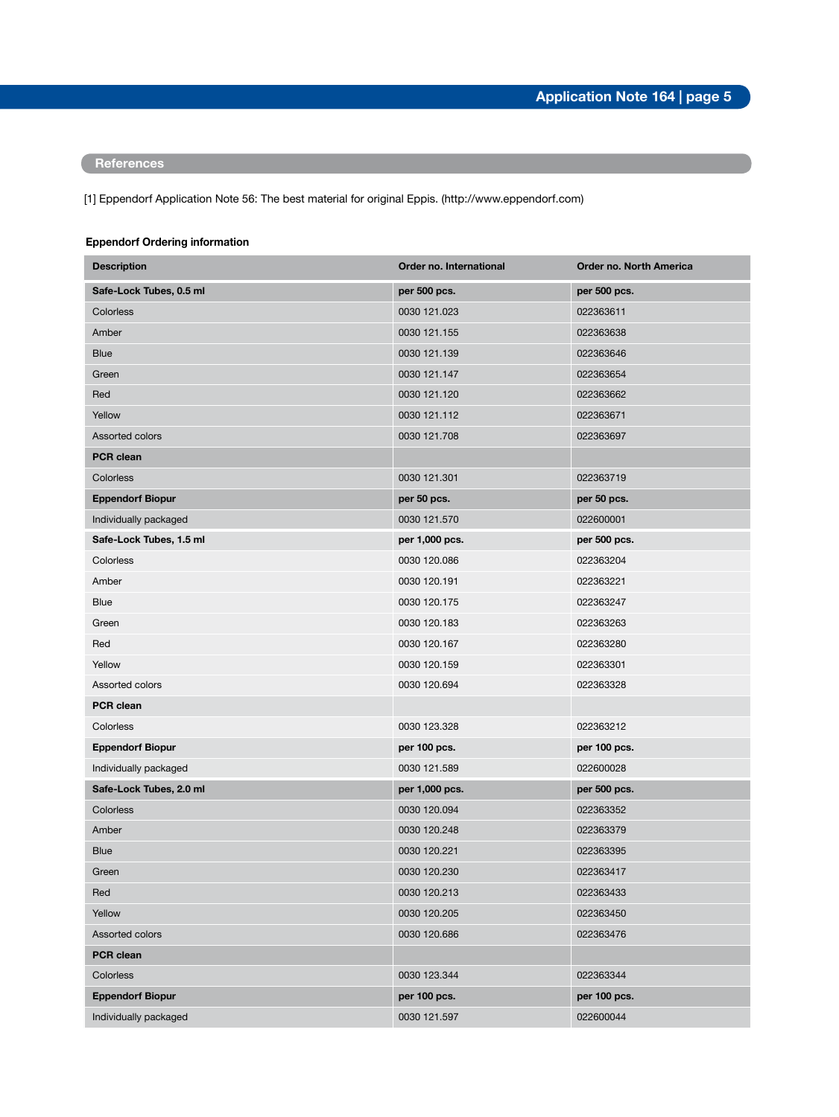# **References**

[1] Eppendorf Application Note 56: The best material for original Eppis. (http://www.eppendorf.com)

# **Eppendorf Ordering information**

| <b>Description</b>      | Order no. International | <b>Order no. North America</b> |
|-------------------------|-------------------------|--------------------------------|
| Safe-Lock Tubes, 0.5 ml | per 500 pcs.            | per 500 pcs.                   |
| Colorless               | 0030 121.023            | 022363611                      |
| Amber                   | 0030 121.155            | 022363638                      |
| <b>Blue</b>             | 0030 121.139            | 022363646                      |
| Green                   | 0030 121.147            | 022363654                      |
| Red                     | 0030 121.120            | 022363662                      |
| Yellow                  | 0030 121.112            | 022363671                      |
| Assorted colors         | 0030 121.708            | 022363697                      |
| <b>PCR</b> clean        |                         |                                |
| Colorless               | 0030 121.301            | 022363719                      |
| <b>Eppendorf Biopur</b> | per 50 pcs.             | per 50 pcs.                    |
| Individually packaged   | 0030 121.570            | 022600001                      |
| Safe-Lock Tubes, 1.5 ml | per 1,000 pcs.          | per 500 pcs.                   |
| Colorless               | 0030 120.086            | 022363204                      |
| Amber                   | 0030 120.191            | 022363221                      |
| Blue                    | 0030 120.175            | 022363247                      |
| Green                   | 0030 120.183            | 022363263                      |
| Red                     | 0030 120.167            | 022363280                      |
| Yellow                  | 0030 120.159            | 022363301                      |
| Assorted colors         | 0030 120.694            | 022363328                      |
| PCR clean               |                         |                                |
| Colorless               | 0030 123.328            | 022363212                      |
| <b>Eppendorf Biopur</b> | per 100 pcs.            | per 100 pcs.                   |
| Individually packaged   | 0030 121.589            | 022600028                      |
| Safe-Lock Tubes, 2.0 ml | per 1,000 pcs.          | per 500 pcs.                   |
| Colorless               | 0030 120.094            | 022363352                      |
| Amber                   | 0030 120.248            | 022363379                      |
| <b>Blue</b>             | 0030 120.221            | 022363395                      |
| Green                   | 0030 120.230            | 022363417                      |
| Red                     | 0030 120.213            | 022363433                      |
| Yellow                  | 0030 120.205            | 022363450                      |
| Assorted colors         | 0030 120.686            | 022363476                      |
| PCR clean               |                         |                                |
| Colorless               | 0030 123.344            | 022363344                      |
| <b>Eppendorf Biopur</b> | per 100 pcs.            | per 100 pcs.                   |
| Individually packaged   | 0030 121.597            | 022600044                      |